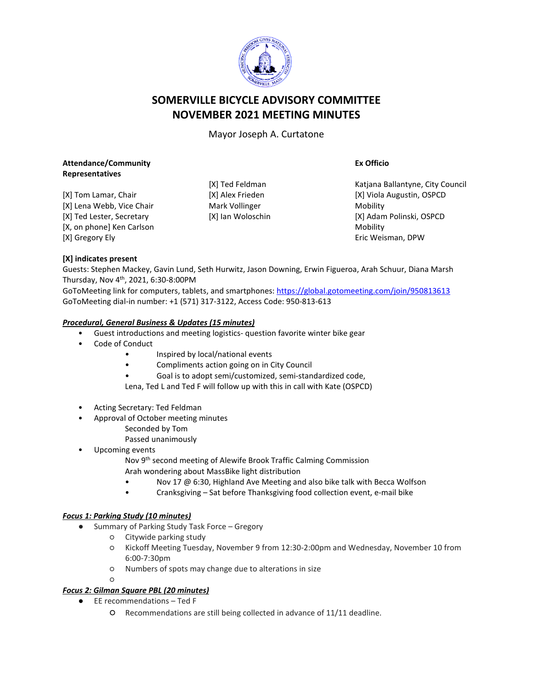

# **SOMERVILLE BICYCLE ADVISORY COMMITTEE NOVEMBER 2021 MEETING MINUTES**

Mayor Joseph A. Curtatone

#### **Attendance/Community Representatives**

[X] Tom Lamar, Chair [X] Lena Webb, Vice Chair [X] Ted Lester, Secretary [X, on phone] Ken Carlson [X] Gregory Ely

[X] Ted Feldman [X] Alex Frieden Mark Vollinger [X] Ian Woloschin **Ex Officio**

Katjana Ballantyne, City Council [X] Viola Augustin, OSPCD Mobility [X] Adam Polinski, OSPCD Mobility Eric Weisman, DPW

## **[X] indicates present**

Guests: Stephen Mackey, Gavin Lund, Seth Hurwitz, Jason Downing, Erwin Figueroa, Arah Schuur, Diana Marsh Thursday, Nov 4th, 2021, 6:30-8:00PM

GoToMeeting link for computers, tablets, and smartphones: <https://global.gotomeeting.com/join/950813613> GoToMeeting dial-in number: +1 (571) 317-3122, Access Code: 950-813-613

## *Procedural, General Business & Updates (15 minutes)*

- Guest introductions and meeting logistics- question favorite winter bike gear
- Code of Conduct
	- Inspired by local/national events
	- Compliments action going on in City Council
	- Goal is to adopt semi/customized, semi-standardized code,

Lena, Ted L and Ted F will follow up with this in call with Kate (OSPCD)

- Acting Secretary: Ted Feldman
- Approval of October meeting minutes
	- Seconded by Tom
		- Passed unanimously
- Upcoming events
	- Nov 9th second meeting of Alewife Brook Traffic Calming Commission Arah wondering about MassBike light distribution
	- Nov 17 @ 6:30, Highland Ave Meeting and also bike talk with Becca Wolfson
	- Cranksgiving Sat before Thanksgiving food collection event, e-mail bike

## *Focus 1: Parking Study (10 minutes)*

- Summary of Parking Study Task Force Gregory
	- Citywide parking study
	- Kickoff Meeting Tuesday, November 9 from 12:30-2:00pm and Wednesday, November 10 from 6:00-7:30pm
	- Numbers of spots may change due to alterations in size
	- $\Omega$

## *Focus 2: Gilman Square PBL (20 minutes)*

- EE recommendations Ted F
	- Recommendations are still being collected in advance of 11/11 deadline.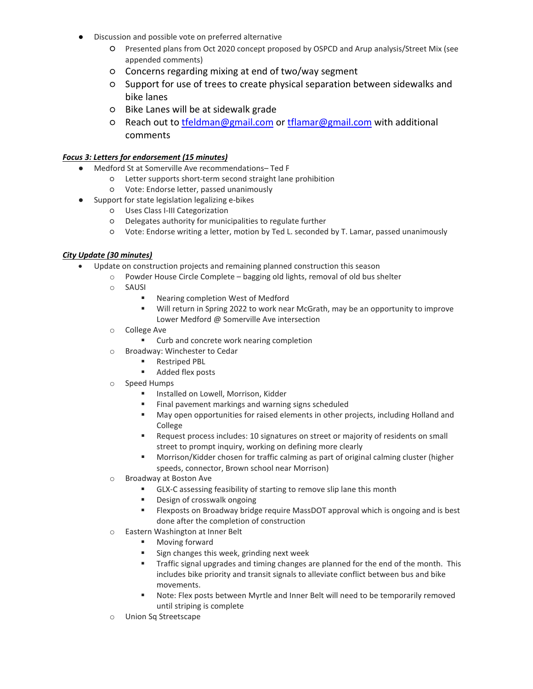- Discussion and possible vote on preferred alternative
	- Presented plans from Oct 2020 concept proposed by OSPCD and Arup analysis/Street Mix (see appended comments)
	- Concerns regarding mixing at end of two/way segment
	- Support for use of trees to create physical separation between sidewalks and bike lanes
	- Bike Lanes will be at sidewalk grade
	- Reach out to [tfeldman@gmail.com](mailto:tfeldman@gmail.com) or [tflamar@gmail.com](mailto:tflamar@gmail.com) with additional comments

#### *Focus 3: Letters for endorsement (15 minutes)*

- Medford St at Somerville Ave recommendations– Ted F
	- Letter supports short-term second straight lane prohibition
	- Vote: Endorse letter, passed unanimously
- Support for state legislation legalizing e-bikes
	- Uses Class I-III Categorization
	- Delegates authority for municipalities to regulate further
	- Vote: Endorse writing a letter, motion by Ted L. seconded by T. Lamar, passed unanimously

#### *City Update (30 minutes)*

- Update on construction projects and remaining planned construction this season
	- o Powder House Circle Complete bagging old lights, removal of old bus shelter
	- o SAUSI
		- Nearing completion West of Medford
		- Will return in Spring 2022 to work near McGrath, may be an opportunity to improve Lower Medford @ Somerville Ave intersection
	- o College Ave
		- **EXECUTE:** Curb and concrete work nearing completion
	- o Broadway: Winchester to Cedar
		- **Restriped PBL**
		- Added flex posts
	- o Speed Humps
		- **Installed on Lowell, Morrison, Kidder**
		- **Final pavement markings and warning signs scheduled**
		- May open opportunities for raised elements in other projects, including Holland and College
		- Request process includes: 10 signatures on street or majority of residents on small street to prompt inquiry, working on defining more clearly
		- Morrison/Kidder chosen for traffic calming as part of original calming cluster (higher speeds, connector, Brown school near Morrison)
	- o Broadway at Boston Ave
		- GLX-C assessing feasibility of starting to remove slip lane this month
		- **Design of crosswalk ongoing**
		- Flexposts on Broadway bridge require MassDOT approval which is ongoing and is best done after the completion of construction
	- o Eastern Washington at Inner Belt
		- **Moving forward**
		- Sign changes this week, grinding next week
		- **Traffic signal upgrades and timing changes are planned for the end of the month. This** includes bike priority and transit signals to alleviate conflict between bus and bike movements.
		- Note: Flex posts between Myrtle and Inner Belt will need to be temporarily removed until striping is complete
	- o Union Sq Streetscape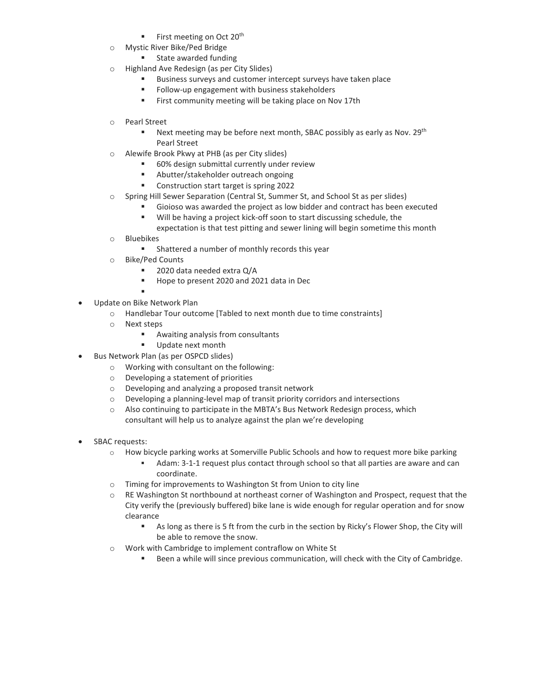- First meeting on Oct  $20<sup>th</sup>$
- o Mystic River Bike/Ped Bridge
	- **State awarded funding**
- o Highland Ave Redesign (as per City Slides)
	- Business surveys and customer intercept surveys have taken place
	- **Follow-up engagement with business stakeholders**
	- **First community meeting will be taking place on Nov 17th**
- o Pearl Street
	- Next meeting may be before next month, SBAC possibly as early as Nov.  $29^{th}$ Pearl Street
- o Alewife Brook Pkwy at PHB (as per City slides)
	- 60% design submittal currently under review
	- Abutter/stakeholder outreach ongoing
	- Construction start target is spring 2022
- o Spring Hill Sewer Separation (Central St, Summer St, and School St as per slides)
	- Gioioso was awarded the project as low bidder and contract has been executed
	- Will be having a project kick-off soon to start discussing schedule, the
	- expectation is that test pitting and sewer lining will begin sometime this month
- o Bluebikes
	- Shattered a number of monthly records this year
- o Bike/Ped Counts
	- 2020 data needed extra Q/A
	- Hope to present 2020 and 2021 data in Dec
	- .
- Update on Bike Network Plan
	- o Handlebar Tour outcome [Tabled to next month due to time constraints]
	- o Next steps
		- Awaiting analysis from consultants
		- Update next month
- Bus Network Plan (as per OSPCD slides)
	- o Working with consultant on the following:
	- o Developing a statement of priorities
	- o Developing and analyzing a proposed transit network
	- $\circ$  Developing a planning-level map of transit priority corridors and intersections
	- o Also continuing to participate in the MBTA's Bus Network Redesign process, which consultant will help us to analyze against the plan we're developing
- SBAC requests:
	- o How bicycle parking works at Somerville Public Schools and how to request more bike parking
		- Adam: 3-1-1 request plus contact through school so that all parties are aware and can coordinate.
	- o Timing for improvements to Washington St from Union to city line
	- $\circ$  RE Washington St northbound at northeast corner of Washington and Prospect, request that the City verify the (previously buffered) bike lane is wide enough for regular operation and for snow clearance
		- As long as there is 5 ft from the curb in the section by Ricky's Flower Shop, the City will be able to remove the snow.
	- o Work with Cambridge to implement contraflow on White St
		- Been a while will since previous communication, will check with the City of Cambridge.